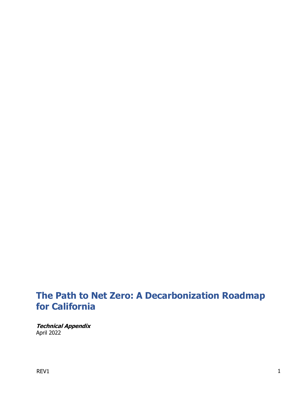# **The Path to Net Zero: A Decarbonization Roadmap for California**

**Technical Appendix** April 2022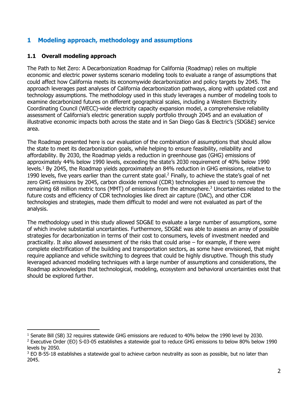# **1 Modeling approach, methodology and assumptions**

#### **1.1 Overall modeling approach**

The Path to Net Zero: A Decarbonization Roadmap for California (Roadmap) relies on multiple economic and electric power systems scenario modeling tools to evaluate a range of assumptions that could affect how California meets its economywide decarbonization and policy targets by 2045. The approach leverages past analyses of California decarbonization pathways, along with updated cost and technology assumptions. The methodology used in this study leverages a number of modeling tools to examine decarbonized futures on different geographical scales, including a Western Electricity Coordinating Council (WECC)-wide electricity capacity expansion model, a comprehensive reliability assessment of California's electric generation supply portfolio through 2045 and an evaluation of illustrative economic impacts both across the state and in San Diego Gas & Electric's (SDG&E) service area.

The Roadmap presented here is our evaluation of the combination of assumptions that should allow the state to meet its decarbonization goals, while helping to ensure feasibility, reliability and affordability. By 2030, the Roadmap yields a reduction in greenhouse gas (GHG) emissions of approximately 44% below 1990 levels, exceeding the state's 2030 requirement of 40% below 1990 levels. <sup>1</sup> By 2045, the Roadmap yields approximately an 84% reduction in GHG emissions, relative to 1990 levels, five years earlier than the current state goal. <sup>2</sup> Finally, to achieve the state's goal of net zero GHG emissions by 2045, carbon dioxide removal (CDR) technologies are used to remove the remaining 68 million metric tons (MMT) of emissions from the atmosphere.<sup>3</sup> Uncertainties related to the future costs and efficiency of CDR technologies like direct air capture (DAC), and other CDR technologies and strategies, made them difficult to model and were not evaluated as part of the analysis.

The methodology used in this study allowed SDG&E to evaluate a large number of assumptions, some of which involve substantial uncertainties. Furthermore, SDG&E was able to assess an array of possible strategies for decarbonization in terms of their cost to consumers, levels of investment needed and practicality. It also allowed assessment of the risks that could arise – for example, if there were complete electrification of the building and transportation sectors, as some have envisioned, that might require appliance and vehicle switching to degrees that could be highly disruptive. Though this study leveraged advanced modeling techniques with a large number of assumptions and considerations, the Roadmap acknowledges that technological, modeling, ecosystem and behavioral uncertainties exist that should be explored further.

<sup>&</sup>lt;sup>1</sup> Senate Bill (SB) 32 requires statewide GHG emissions are reduced to 40% below the 1990 level by 2030.

<sup>2</sup> Executive Order (EO) S-03-05 establishes a statewide goal to reduce GHG emissions to below 80% below 1990 levels by 2050.

<sup>&</sup>lt;sup>3</sup> EO B-55-18 establishes a statewide goal to achieve carbon neutrality as soon as possible, but no later than 2045.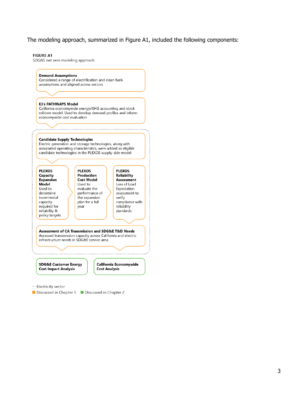The modeling approach, summarized in Figure A1, included the following components:

#### **FIGURE A1**

SDG&E net zero modeling approach

#### **Demand Assumptions** Considered a range of electrification and clean fuels

assumptions and aligned across sectors

#### **E3's PATHWAYS Model**

California economywide energy/GHG accounting and stock rollover model. Used to develop demand profiles and inform economywide cost evaluation

#### **Candidate Supply Technologies**

Electric generation and storage technologies, along with associated operating characteristics, were added as eligible candidate technologies in the PLEXOS supply-side model



**SDG&E Customer Energy Cost Impact Analysis** 

California Economywide **Cost Analysis** 

... Electricity sector

Discussed in Chapter 1 Discussed in Chapter 2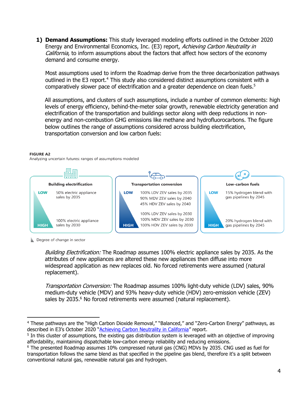**1) Demand Assumptions:** This study leveraged modeling efforts outlined in the October 2020 Energy and Environmental Economics, Inc. (E3) report, Achieving Carbon Neutrality in California, to inform assumptions about the factors that affect how sectors of the economy demand and consume energy.

Most assumptions used to inform the Roadmap derive from the three decarbonization pathways outlined in the E3 report.<sup>4</sup> This study also considered distinct assumptions consistent with a comparatively slower pace of electrification and a greater dependence on clean fuels. 5

All assumptions, and clusters of such assumptions, include a number of common elements: high levels of energy efficiency, behind-the-meter solar growth, renewable electricity generation and electrification of the transportation and buildings sector along with deep reductions in nonenergy and non-combustion GHG emissions like methane and hydrofluorocarbons. The figure below outlines the range of assumptions considered across building electrification, transportation conversion and low carbon fuels:

#### **FIGURE A2**

Analyzing uncertain futures: ranges of assumptions modeled



Degree of change in sector

Building Electrification: The Roadmap assumes 100% electric appliance sales by 2035. As the attributes of new appliances are altered these new appliances then diffuse into more widespread application as new replaces old. No forced retirements were assumed (natural replacement).

Transportation Conversion: The Roadmap assumes 100% light-duty vehicle (LDV) sales, 90% medium-duty vehicle (MDV) and 93% heavy-duty vehicle (HDV) zero-emission vehicle (ZEV) sales by 2035.<sup>6</sup> No forced retirements were assumed (natural replacement).

<sup>4</sup> These pathways are the "High Carbon Dioxide Removal," "Balanced," and "Zero-Carbon Energy" pathways, as described in E3's October 2020 "[Achieving Carbon Neutrality in California](https://ww2.arb.ca.gov/sites/default/files/2020-10/e3_cn_final_report_oct2020_0.pdf)" report.

<sup>&</sup>lt;sup>5</sup> In this cluster of assumptions, the existing gas distribution system is leveraged with an objective of improving affordability, maintaining dispatchable low-carbon energy reliability and reducing emissions.

<sup>6</sup> The presented Roadmap assumes 10% compressed natural gas (CNG) MDVs by 2035. CNG used as fuel for transportation follows the same blend as that specified in the pipeline gas blend, therefore it's a split between conventional natural gas, renewable natural gas and hydrogen.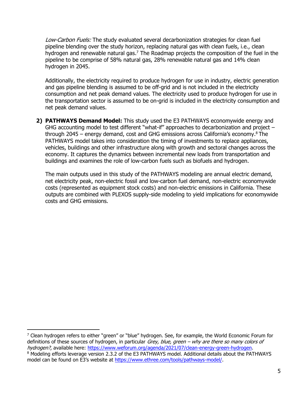Low-Carbon Fuels: The study evaluated several decarbonization strategies for clean fuel pipeline blending over the study horizon, replacing natural gas with clean fuels, i.e., clean hydrogen and renewable natural gas.<sup>7</sup> The Roadmap projects the composition of the fuel in the pipeline to be comprise of 58% natural gas, 28% renewable natural gas and 14% clean hydrogen in 2045.

Additionally, the electricity required to produce hydrogen for use in industry, electric generation and gas pipeline blending is assumed to be off-grid and is not included in the electricity consumption and net peak demand values. The electricity used to produce hydrogen for use in the transportation sector is assumed to be on-grid is included in the electricity consumption and net peak demand values.

**2) PATHWAYS Demand Model:** This study used the E3 PATHWAYS economywide energy and GHG accounting model to test different "what-if" approaches to decarbonization and project through 2045 – energy demand, cost and GHG emissions across California's economy.<sup>8</sup> The PATHWAYS model takes into consideration the timing of investments to replace appliances, vehicles, buildings and other infrastructure along with growth and sectoral changes across the economy. It captures the dynamics between incremental new loads from transportation and buildings and examines the role of low-carbon fuels such as biofuels and hydrogen.

The main outputs used in this study of the PATHWAYS modeling are annual electric demand, net electricity peak, non-electric fossil and low-carbon fuel demand, non-electric economywide costs (represented as equipment stock costs) and non-electric emissions in California. These outputs are combined with PLEXOS supply-side modeling to yield implications for economywide costs and GHG emissions.

<sup>&</sup>lt;sup>7</sup> Clean hydrogen refers to either "green" or "blue" hydrogen. See, for example, the World Economic Forum for definitions of these sources of hydrogen, in particular *Grey, blue, green – why are there so many colors of* hydrogen?, available here: [https://www.weforum.org/agenda/2021/07/clean-energy-green-hydrogen.](https://www.weforum.org/agenda/2021/07/clean-energy-green-hydrogen) <sup>8</sup> Modeling efforts leverage version 2.3.2 of the E3 PATHWAYS model. Additional details about the PATHWAYS model can be found on E3's website at [https://www.ethree.com/tools/pathways-model/.](https://www.ethree.com/tools/pathways-model/)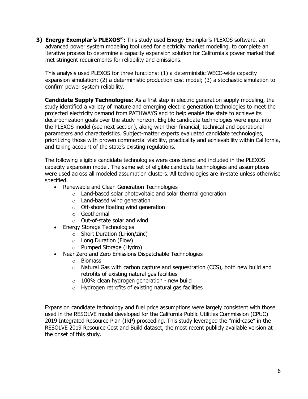**3) Energy Exemplar's PLEXOS**®**:** This study used Energy Exemplar's PLEXOS software, an advanced power system modeling tool used for electricity market modeling, to complete an iterative process to determine a capacity expansion solution for California's power market that met stringent requirements for reliability and emissions.

This analysis used PLEXOS for three functions: (1) a deterministic WECC-wide capacity expansion simulation; (2) a deterministic production cost model; (3) a stochastic simulation to confirm power system reliability.

**Candidate Supply Technologies:** As a first step in electric generation supply modeling, the study identified a variety of mature and emerging electric generation technologies to meet the projected electricity demand from PATHWAYS and to help enable the state to achieve its decarbonization goals over the study horizon. Eligible candidate technologies were input into the PLEXOS model (see next section), along with their financial, technical and operational parameters and characteristics. Subject-matter experts evaluated candidate technologies, prioritizing those with proven commercial viability, practicality and achievability within California, and taking account of the state's existing regulations.

The following eligible candidate technologies were considered and included in the PLEXOS capacity expansion model. The same set of eligible candidate technologies and assumptions were used across all modeled assumption clusters. All technologies are in-state unless otherwise specified.

- Renewable and Clean Generation Technologies
	- o Land-based solar photovoltaic and solar thermal generation
	- o Land-based wind generation
	- $\circ$  Off-shore floating wind generation
	- o Geothermal
	- o Out-of-state solar and wind
- Energy Storage Technologies
	- o Short Duration (Li-ion/zinc)
	- o Long Duration (Flow)
	- o Pumped Storage (Hydro)
- Near Zero and Zero Emissions Dispatchable Technologies
	- o Biomass
	- $\circ$  Natural Gas with carbon capture and sequestration (CCS), both new build and retrofits of existing natural gas facilities
	- $\circ$  100% clean hydrogen generation new build
	- $\circ$  Hydrogen retrofits of existing natural gas facilities

Expansion candidate technology and fuel price assumptions were largely consistent with those used in the RESOLVE model developed for the California Public Utilities Commission (CPUC) 2019 Integrated Resource Plan (IRP) proceeding. This study leveraged the "mid-case" in the RESOLVE 2019 Resource Cost and Build dataset, the most recent publicly available version at the onset of this study.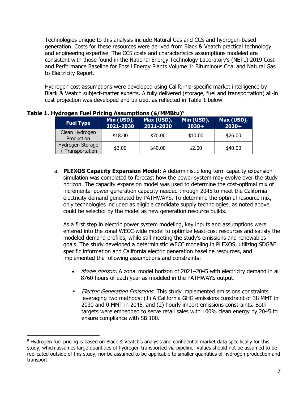Technologies unique to this analysis include Natural Gas and CCS and hydrogen-based generation. Costs for these resources were derived from Black & Veatch practical technology and engineering expertise. The CCS costs and characteristics assumptions modeled are consistent with those found in the National Energy Technology Laboratory's (NETL) 2019 Cost and Performance Baseline for Fossil Energy Plants Volume 1: Bituminous Coal and Natural Gas to Electricity Report.

Hydrogen cost assumptions were developed using California-specific market intelligence by Black & Veatch subject-matter experts. A fully delivered (storage, fuel and transportation) all-in cost projection was developed and utilized, as reflected in Table 1 below.

| <b>Fuel Type</b>                     | Min (USD),<br>2021-2030 | Max (USD),<br>2021-2030 | Min (USD),<br>$2030+$ | Max (USD),<br>$2030+$ |
|--------------------------------------|-------------------------|-------------------------|-----------------------|-----------------------|
| Clean Hydrogen<br>Production         | \$18.00                 | \$70.00                 | \$10.00               | \$26.00               |
| Hydrogen Storage<br>+ Transportation | \$2.00                  | \$40.00                 | \$2.00                | \$40.00               |

#### **Table 1. Hydrogen Fuel Pricing Assumptions (\$/MMBtu)<sup>9</sup>**

a. **PLEXOS Capacity Expansion Model:** A deterministic long-term capacity expansion simulation was completed to forecast how the power system may evolve over the study horizon. The capacity expansion model was used to determine the cost-optimal mix of incremental power generation capacity needed through 2045 to meet the California electricity demand generated by PATHWAYS. To determine the optimal resource mix, only technologies included as eligible candidate supply technologies, as noted above, could be selected by the model as new generation resource builds.

As a first step in electric power system modeling, key inputs and assumptions were entered into the zonal WECC-wide model to optimize least-cost resources and satisfy the modeled demand profiles, while still meeting the study's emissions and renewables goals. The study developed a deterministic WECC modeling in PLEXOS, utilizing SDG&E specific information and California electric generation baseline resources, and implemented the following assumptions and constraints:

- Model horizon: A zonal model horizon of 2021–2045 with electricity demand in all 8760 hours of each year as modeled in the PATHWAYS output.
- **Electric Generation Emissions:** This study implemented emissions constraints leveraging two methods: (1) A California GHG emissions constraint of 38 MMT in 2030 and 0 MMT in 2045, and (2) hourly import emissions constraints. Both targets were embedded to serve retail sales with 100% clean energy by 2045 to ensure compliance with SB 100.

<sup>9</sup> Hydrogen fuel pricing is based on Black & Veatch's analysis and confidential market data specifically for this study, which assumes large quantities of hydrogen transported via pipeline. Values should not be assumed to be replicated outside of this study, nor be assumed to be applicable to smaller quantities of hydrogen production and transport.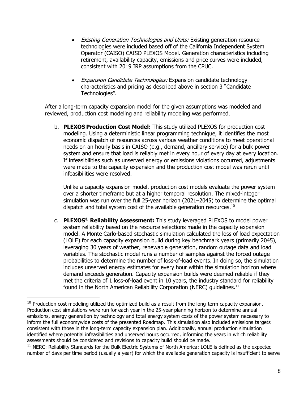- Existing Generation Technologies and Units: Existing generation resource technologies were included based off of the California Independent System Operator (CAISO) CAISO PLEXOS Model. Generation characteristics including retirement, availability capacity, emissions and price curves were included, consistent with 2019 IRP assumptions from the CPUC.
- Expansion Candidate Technologies: Expansion candidate technology characteristics and pricing as described above in section 3 "Candidate Technologies".

After a long-term capacity expansion model for the given assumptions was modeled and reviewed, production cost modeling and reliability modeling was performed.

b. **PLEXOS Production Cost Model:** This study utilized PLEXOS for production cost modeling. Using a deterministic linear programming technique, it identifies the most economic dispatch of resources across various weather conditions to meet operational needs on an hourly basis in CAISO (e.g., demand, ancillary service) for a bulk power system and ensure that load is reliably met in every hour of every day at every location. If infeasibilities such as unserved energy or emissions violations occurred, adjustments were made to the capacity expansion and the production cost model was rerun until infeasibilities were resolved.

Unlike a capacity expansion model, production cost models evaluate the power system over a shorter timeframe but at a higher temporal resolution. The mixed-integer simulation was run over the full 25-year horizon (2021–2045) to determine the optimal dispatch and total system cost of the available generation resources.<sup>10</sup>

c. **PLEXOS**® **Reliability Assessment:** This study leveraged PLEXOS to model power system reliability based on the resource selections made in the capacity expansion model. A Monte Carlo-based stochastic simulation calculated the loss of load expectation (LOLE) for each capacity expansion build during key benchmark years (primarily 2045), leveraging 30 years of weather, renewable generation, random outage data and load variables. The stochastic model runs a number of samples against the forced outage probabilities to determine the number of loss-of-load events. In doing so, the simulation includes unserved energy estimates for every hour within the simulation horizon where demand exceeds generation. Capacity expansion builds were deemed reliable if they met the criteria of 1 loss-of-load event in 10 years, the industry standard for reliability found in the North American Reliability Corporation (NERC) guidelines.<sup>11</sup>

<sup>&</sup>lt;sup>10</sup> Production cost modeling utilized the optimized build as a result from the long-term capacity expansion. Production cost simulations were run for each year in the 25-year planning horizon to determine annual emissions, energy generation by technology and total energy system costs of the power system necessary to inform the full economywide costs of the presented Roadmap. This simulation also included emissions targets consistent with those in the long-term capacity expansion plan. Additionally, annual production simulation identified where potential infeasibilities and unserved hours occurred, informing the years in which reliability assessments should be considered and revisions to capacity build should be made.

 $11$  NERC: Reliability Standards for the Bulk Electric Systems of North America: LOLE is defined as the expected number of days per time period (usually a year) for which the available generation capacity is insufficient to serve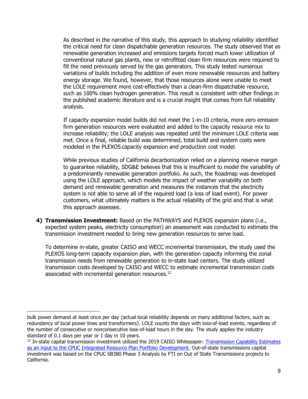As described in the narrative of this study, this approach to studying reliability identified the critical need for clean dispatchable generation resources. The study observed that as renewable generation increased and emissions targets forced much lower utilization of conventional natural gas plants, new or retrofitted clean firm resources were required to fill the need previously served by the gas generators. This study tested numerous variations of builds including the addition of even more renewable resources and battery energy storage. We found, however, that those resources alone were unable to meet the LOLE requirement more cost-effectively than a clean-firm dispatchable resource, such as 100% clean hydrogen generation. This result is consistent with other findings in the published academic literature and is a crucial insight that comes from full reliability analysis.

If capacity expansion model builds did not meet the 1-in-10 criteria, more zero emission firm generation resources were evaluated and added to the capacity resource mix to increase reliability; the LOLE analysis was repeated until the minimum LOLE criteria was met. Once a final, reliable build was determined, total build and system costs were modeled in the PLEXOS capacity expansion and production cost model.

While previous studies of California decarbonization relied on a planning reserve margin to guarantee reliability, SDG&E believes that this is insufficient to model the variability of a predominantly renewable generation portfolio. As such, the Roadmap was developed using the LOLE approach, which models the impact of weather variability on both demand and renewable generation and measures the instances that the electricity system is not able to serve all of the required load (a loss of load event). For power customers, what ultimately matters is the actual reliability of the grid and that is what this approach assesses.

**4) Transmission Investment:** Based on the PATHWAYS and PLEXOS expansion plans (i.e., expected system peaks, electricity consumption) an assessment was conducted to estimate the transmission investment needed to bring new generation resources to serve load.

To determine in-state, greater CAISO and WECC incremental transmission, the study used the PLEXOS long-term capacity expansion plan, with the generation capacity informing the zonal transmission needs from renewable generation to in-state load centers. The study utilized transmission costs developed by CAISO and WECC to estimate incremental transmission costs associated with incremental generation resources.<sup>12</sup>

bulk power demand at least once per day (actual local reliability depends on many additional factors, such as redundancy of local power lines and transformers). LOLE counts the days with loss-of-load events, regardless of the number of consecutive or nonconsecutive loss-of-load hours in the day. The study applies the industry standard of 0.1 days per year or 1 day in 10 years.

<sup>&</sup>lt;sup>12</sup> In-state capital transmission investment utilized the 2019 CAISO Whitepaper: Transmission Capability Estimates [as an input to the CPUC Integrated Resource Plan Portfolio Development.](https://www.caiso.com/Documents/WhitePaper-TransmissionCapabilityEstimates-InputtoCPUCIntegratedResourcePlanPortfolioDevelopment.pdf) Out-of-state transmissions capital investment was based on the CPUC SB380 Phase 3 Analysis by FTI on Out of State Transmissions projects to California.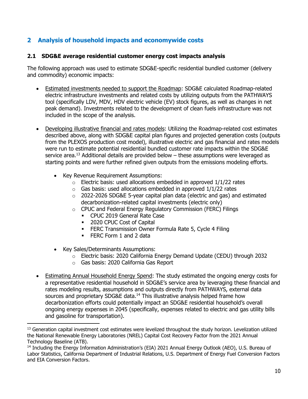# **2 Analysis of household impacts and economywide costs**

#### **2.1 SDG&E average residential customer energy cost impacts analysis**

The following approach was used to estimate SDG&E-specific residential bundled customer (delivery and commodity) economic impacts:

- Estimated investments needed to support the Roadmap: SDG&E calculated Roadmap-related electric infrastructure investments and related costs by utilizing outputs from the PATHWAYS tool (specifically LDV, MDV, HDV electric vehicle (EV) stock figures, as well as changes in net peak demand). Investments related to the development of clean fuels infrastructure was not included in the scope of the analysis.
- Developing illustrative financial and rates models: Utilizing the Roadmap-related cost estimates described above, along with SDG&E capital plan figures and projected generation costs (outputs from the PLEXOS production cost model), illustrative electric and gas financial and rates models were run to estimate potential residential bundled customer rate impacts within the SDG&E service area.<sup>13</sup> Additional details are provided below  $-$  these assumptions were leveraged as starting points and were further refined given outputs from the emissions modeling efforts.
	- Key Revenue Requirement Assumptions:
		- $\circ$  Electric basis: used allocations embedded in approved  $1/1/22$  rates
		- $\circ$  Gas basis: used allocations embedded in approved 1/1/22 rates
		- $\circ$  2022-2026 SDG&E 5-year capital plan data (electric and gas) and estimated decarbonization-related capital investments (electric only)
		- o CPUC and Federal Energy Regulatory Commission (FERC) Filings
			- CPUC 2019 General Rate Case
			- 2020 CPUC Cost of Capital
			- **ERC Transmission Owner Formula Rate 5, Cycle 4 Filing**
			- FERC Form 1 and 2 data
	- Key Sales/Determinants Assumptions:
		- o Electric basis: 2020 California Energy Demand Update (CEDU) through 2032
		- o Gas basis: 2020 California Gas Report
- Estimating Annual Household Energy Spend: The study estimated the ongoing energy costs for a representative residential household in SDG&E's service area by leveraging these financial and rates modeling results, assumptions and outputs directly from PATHWAYS, external data sources and proprietary SDG&E data.<sup>14</sup> This illustrative analysis helped frame how decarbonization efforts could potentially impact an SDG&E residential household's overall ongoing energy expenses in 2045 (specifically, expenses related to electric and gas utility bills and gasoline for transportation).

<sup>&</sup>lt;sup>13</sup> Generation capital investment cost estimates were levelized throughout the study horizon. Levelization utilized the National Renewable Energy Laboratories (NREL) Capital Cost Recovery Factor from the 2021 Annual Technology Baseline (ATB).

<sup>14</sup> Including the Energy Information Administration's (EIA) 2021 Annual Energy Outlook (AEO), U.S. Bureau of Labor Statistics, California Department of Industrial Relations, U.S. Department of Energy Fuel Conversion Factors and EIA Conversion Factors.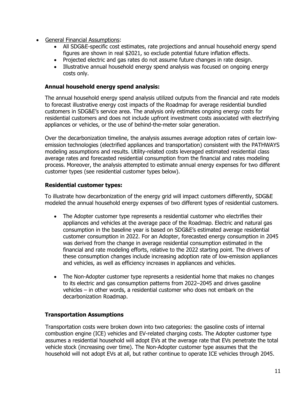- General Financial Assumptions:
	- All SDG&E-specific cost estimates, rate projections and annual household energy spend figures are shown in real \$2021, so exclude potential future inflation effects.
	- Projected electric and gas rates do not assume future changes in rate design.
	- Illustrative annual household energy spend analysis was focused on ongoing energy costs only.

#### **Annual household energy spend analysis:**

The annual household energy spend analysis utilized outputs from the financial and rate models to forecast illustrative energy cost impacts of the Roadmap for average residential bundled customers in SDG&E's service area. The analysis only estimates ongoing energy costs for residential customers and does not include upfront investment costs associated with electrifying appliances or vehicles, or the use of behind-the-meter solar generation.

Over the decarbonization timeline, the analysis assumes average adoption rates of certain lowemission technologies (electrified appliances and transportation) consistent with the PATHWAYS modeling assumptions and results. Utility-related costs leveraged estimated residential class average rates and forecasted residential consumption from the financial and rates modeling process. Moreover, the analysis attempted to estimate annual energy expenses for two different customer types (see residential customer types below).

#### **Residential customer types:**

To illustrate how decarbonization of the energy grid will impact customers differently, SDG&E modeled the annual household energy expenses of two different types of residential customers.

- The Adopter customer type represents a residential customer who electrifies their appliances and vehicles at the average pace of the Roadmap. Electric and natural gas consumption in the baseline year is based on SDG&E's estimated average residential customer consumption in 2022. For an Adopter, forecasted energy consumption in 2045 was derived from the change in average residential consumption estimated in the financial and rate modeling efforts, relative to the 2022 starting point. The drivers of these consumption changes include increasing adoption rate of low-emission appliances and vehicles, as well as efficiency increases in appliances and vehicles.
- The Non-Adopter customer type represents a residential home that makes no changes to its electric and gas consumption patterns from 2022–2045 and drives gasoline vehicles – in other words, a residential customer who does not embark on the decarbonization Roadmap.

#### **Transportation Assumptions**

Transportation costs were broken down into two categories: the gasoline costs of internal combustion engine (ICE) vehicles and EV-related charging costs. The Adopter customer type assumes a residential household will adopt EVs at the average rate that EVs penetrate the total vehicle stock (increasing over time). The Non-Adopter customer type assumes that the household will not adopt EVs at all, but rather continue to operate ICE vehicles through 2045.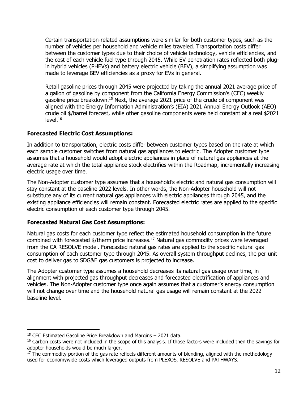Certain transportation-related assumptions were similar for both customer types, such as the number of vehicles per household and vehicle miles traveled. Transportation costs differ between the customer types due to their choice of vehicle technology, vehicle efficiencies, and the cost of each vehicle fuel type through 2045. While EV penetration rates reflected both plugin hybrid vehicles (PHEVs) and battery electric vehicle (BEV), a simplifying assumption was made to leverage BEV efficiencies as a proxy for EVs in general.

Retail gasoline prices through 2045 were projected by taking the annual 2021 average price of a gallon of gasoline by component from the California Energy Commission's (CEC) weekly gasoline price breakdown.<sup>15</sup> Next, the average 2021 price of the crude oil component was aligned with the Energy Information Administration's (EIA) 2021 Annual Energy Outlook (AEO) crude oil \$/barrel forecast, while other gasoline components were held constant at a real \$2021 level.<sup>16</sup>

#### **Forecasted Electric Cost Assumptions:**

In addition to transportation, electric costs differ between customer types based on the rate at which each sample customer switches from natural gas appliances to electric. The Adopter customer type assumes that a household would adopt electric appliances in place of natural gas appliances at the average rate at which the total appliance stock electrifies within the Roadmap, incrementally increasing electric usage over time.

The Non-Adopter customer type assumes that a household's electric and natural gas consumption will stay constant at the baseline 2022 levels. In other words, the Non-Adopter household will not substitute any of its current natural gas appliances with electric appliances through 2045, and the existing appliance efficiencies will remain constant. Forecasted electric rates are applied to the specific electric consumption of each customer type through 2045.

## **Forecasted Natural Gas Cost Assumptions:**

Natural gas costs for each customer type reflect the estimated household consumption in the future combined with forecasted \$/therm price increases.<sup>17</sup> Natural gas commodity prices were leveraged from the CA RESOLVE model. Forecasted natural gas rates are applied to the specific natural gas consumption of each customer type through 2045. As overall system throughput declines, the per unit cost to deliver gas to SDG&E gas customers is projected to increase.

The Adopter customer type assumes a household decreases its natural gas usage over time, in alignment with projected gas throughput decreases and forecasted electrification of appliances and vehicles. The Non-Adopter customer type once again assumes that a customer's energy consumption will not change over time and the household natural gas usage will remain constant at the 2022 baseline level.

<sup>15</sup> CEC Estimated Gasoline Price Breakdown and Margins – 2021 data.

<sup>&</sup>lt;sup>16</sup> Carbon costs were not included in the scope of this analysis. If those factors were included then the savings for adopter households would be much larger.

<sup>&</sup>lt;sup>17</sup> The commodity portion of the gas rate reflects different amounts of blending, aligned with the methodology used for economywide costs which leveraged outputs from PLEXOS, RESOLVE and PATHWAYS.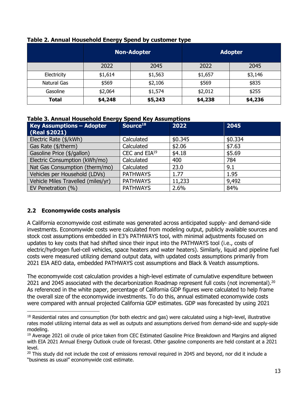|             | <b>Non-Adopter</b> |         | <b>Adopter</b> |         |
|-------------|--------------------|---------|----------------|---------|
|             | 2022               | 2045    | 2022           | 2045    |
| Electricity | \$1,614            | \$1,563 | \$1,657        | \$3,146 |
| Natural Gas | \$569              | \$2,106 | \$569          | \$835   |
| Gasoline    | \$2,064            | \$1,574 | \$2,012        | \$255   |
| Total       | \$4,248            | \$5,243 | \$4,238        | \$4,236 |

#### **Table 2. Annual Household Energy Spend by customer type**

#### **Table 3. Annual Household Energy Spend Key Assumptions**

| <b>Key Assumptions - Adopter</b>   | Source <sup>18</sup> | 2022    | 2045    |
|------------------------------------|----------------------|---------|---------|
| (Real \$2021)                      |                      |         |         |
| Electric Rate (\$/kWh)             | Calculated           | \$0.345 | \$0.334 |
| Gas Rate (\$/therm)                | Calculated           | \$2.06  | \$7.63  |
| Gasoline Price (\$/gallon)         | CEC and $EIA19$      | \$4.18  | \$5.69  |
| Electric Consumption (kWh/mo)      | Calculated           | 400     | 784     |
| Nat Gas Consumption (therm/mo)     | Calculated           | 23.0    | 9.1     |
| Vehicles per Household (LDVs)      | <b>PATHWAYS</b>      | 1.77    | 1.95    |
| Vehicle Miles Travelled (miles/yr) | <b>PATHWAYS</b>      | 11,233  | 9,492   |
| EV Penetration (%)                 | <b>PATHWAYS</b>      | 2.6%    | 84%     |

## **2.2 Economywide costs analysis**

A California economywide cost estimate was generated across anticipated supply- and demand-side investments. Economywide costs were calculated from modeling output, publicly available sources and stock cost assumptions embedded in E3's PATHWAYS tool, with minimal adjustments focused on updates to key costs that had shifted since their input into the PATHWAYS tool (i.e., costs of electric/hydrogen fuel-cell vehicles, space heaters and water heaters). Similarly, liquid and pipeline fuel costs were measured utilizing demand output data, with updated costs assumptions primarily from 2021 EIA AEO data, embedded PATHWAYS cost assumptions and Black & Veatch assumptions.

The economywide cost calculation provides a high-level estimate of cumulative expenditure between 2021 and 2045 associated with the decarbonization Roadmap represent full costs (not incremental).<sup>20</sup> As referenced in the white paper, percentage of California GDP figures were calculated to help frame the overall size of the economywide investments. To do this, annual estimated economywide costs were compared with annual projected California GDP estimates. GDP was forecasted by using 2021

<sup>&</sup>lt;sup>18</sup> Residential rates and consumption (for both electric and gas) were calculated using a high-level, illustrative rates model utilizing internal data as well as outputs and assumptions derived from demand-side and supply-side modeling.

<sup>&</sup>lt;sup>19</sup> Average 2021 oil crude oil price taken from CEC Estimated Gasoline Price Breakdown and Margins and aligned with EIA 2021 Annual Energy Outlook crude oil forecast. Other gasoline components are held constant at a 2021 level.

<sup>&</sup>lt;sup>20</sup> This study did not include the cost of emissions removal required in 2045 and beyond, nor did it include a "business as usual" economywide cost estimate.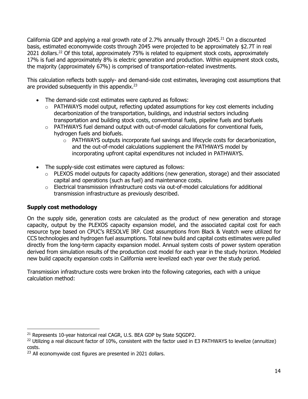California GDP and applying a real growth rate of 2.7% annually through 2045. $^{21}$  On a discounted basis, estimated economywide costs through 2045 were projected to be approximately \$2.7T in real 2021 dollars.<sup>22</sup> Of this total, approximately 75% is related to equipment stock costs, approximately 17% is fuel and approximately 8% is electric generation and production. Within equipment stock costs, the majority (approximately 67%) is comprised of transportation-related investments.

This calculation reflects both supply- and demand-side cost estimates, leveraging cost assumptions that are provided subsequently in this appendix. $23$ 

- The demand-side cost estimates were captured as follows:
	- o PATHWAYS model output, reflecting updated assumptions for key cost elements including decarbonization of the transportation, buildings, and industrial sectors including transportation and building stock costs, conventional fuels, pipeline fuels and biofuels
	- $\circ$  PATHWAYS fuel demand output with out-of-model calculations for conventional fuels, hydrogen fuels and biofuels.
		- $\circ$  PATHWAYS outputs incorporate fuel savings and lifecycle costs for decarbonization, and the out-of-model calculations supplement the PATHWAYS model by incorporating upfront capital expenditures not included in PATHWAYS.
- The supply-side cost estimates were captured as follows:
	- o PLEXOS model outputs for capacity additions (new generation, storage) and their associated capital and operations (such as fuel) and maintenance costs.
	- $\circ$  Electrical transmission infrastructure costs via out-of-model calculations for additional transmission infrastructure as previously described.

## **Supply cost methodology**

On the supply side, generation costs are calculated as the product of new generation and storage capacity, output by the PLEXOS capacity expansion model, and the associated capital cost for each resource type based on [CPUC's RESOLVE IRP](https://www.cpuc.ca.gov/industries-and-topics/electrical-energy/electric-power-procurement/long-term-procurement-planning/2019-20-irp-events-and-materials/resolve-model-inputs-and-results-used-for-2019-irp-reference-system-plan-decision). Cost assumptions from Black & Veatch were utilized for CCS technologies and hydrogen fuel assumptions. Total new build and capital costs estimates were pulled directly from the long-term capacity expansion model. Annual system costs of power system operation derived from simulation results of the production cost model for each year in the study horizon. Modeled new build capacity expansion costs in California were levelized each year over the study period.

Transmission infrastructure costs were broken into the following categories, each with a unique calculation method:

<sup>&</sup>lt;sup>21</sup> Represents 10-year historical real CAGR, U.S. BEA GDP by State SOGDP2.

<sup>&</sup>lt;sup>22</sup> Utilizing a real discount factor of 10%, consistent with the factor used in E3 PATHWAYS to levelize (annuitize) costs.

 $23$  All economywide cost figures are presented in 2021 dollars.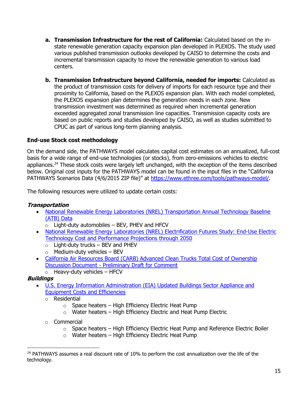- **a. Transmission Infrastructure for the rest of California:** Calculated based on the instate renewable generation capacity expansion plan developed in PLEXOS. The study used various published transmission outlooks developed by CAISO to determine the costs and incremental transmission capacity to move the renewable generation to various load centers.
- **b. Transmission Infrastructure beyond California, needed for imports:** Calculated as the product of transmission costs for delivery of imports for each resource type and their proximity to California, based on the PLEXOS expansion plan. With each model completed, the PLEXOS expansion plan determines the generation needs in each zone. New transmission investment was determined as required when incremental generation exceeded aggregated zonal transmission line capacities. Transmission capacity costs are based on public reports and studies developed by CAISO, as well as studies submitted to CPUC as part of various long-term planning analysis.

## **End-use Stock cost methodology**

On the demand side, the PATHWAYS model calculates capital cost estimates on an annualized, full-cost basis for a wide range of end-use technologies (or stocks), from zero-emissions vehicles to electric appliances.<sup>24</sup> These stock costs were largely left unchanged, with the exception of the items described below. Original cost inputs for the PATHWAYS model can be found in the input files in the "California PATHWAYS Scenarios Data (4/6/2015 ZIP file)" at [https://www.ethree.com/tools/pathways-model/.](https://www.ethree.com/tools/pathways-model/)

The following resources were utilized to update certain costs:

#### **Transportation**

- National Renewable Energy Laboratories (NREL) Transportation Annual Technology Baseline [\(ATB\) Data](https://atb.nrel.gov/transportation/2020/data)
	- $\circ$  Light-duty automobiles BEV, PHEV and HFCV
- [National Renewable Energy Laboratories \(NREL\) Electrification Futures Study: End-Use Electric](https://www.nrel.gov/docs/fy18osti/70485.pdf)  [Technology Cost and Performance Projections through 2050](https://www.nrel.gov/docs/fy18osti/70485.pdf)
	- $\circ$  Light-duty trucks BEV and PHEV
	- $\circ$  Medium-duty vehicles BEV
- [California Air Resources Board \(CARB\) Advanced Clean Trucks Total Cost of Ownership](https://ww2.arb.ca.gov/sites/default/files/2020-06/190225tco_ADA.pdf)  Discussion Document - [Preliminary Draft for Comment](https://ww2.arb.ca.gov/sites/default/files/2020-06/190225tco_ADA.pdf)
	- $\circ$  Heavy-duty vehicles HFCV

## **Buildings**

- U.S. Energy Information Administration (EIA) Updated Buildings Sector Appliance and [Equipment Costs and Efficiencies](https://www.eia.gov/analysis/studies/buildings/equipcosts/pdf/full.pdf)
	- o Residential
		- $\circ$  Space heaters High Efficiency Electric Heat Pump
		- $\circ$  Water heaters High Efficiency Electric and Heat Pump Electric
	- o Commercial
		- $\circ$  Space heaters High Efficiency Electric Heat Pump and Reference Electric Boiler
		- $\circ$  Water heaters High Efficiency Electric Heat Pump

<sup>&</sup>lt;sup>24</sup> PATHWAYS assumes a real discount rate of 10% to perform the cost annualization over the life of the technology.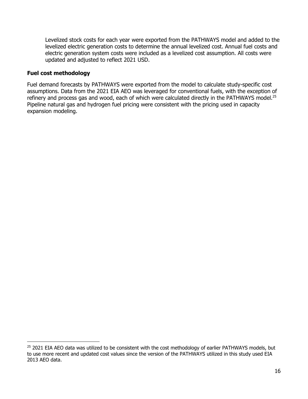Levelized stock costs for each year were exported from the PATHWAYS model and added to the levelized electric generation costs to determine the annual levelized cost. Annual fuel costs and electric generation system costs were included as a levelized cost assumption. All costs were updated and adjusted to reflect 2021 USD.

#### **Fuel cost methodology**

Fuel demand forecasts by PATHWAYS were exported from the model to calculate study-specific cost assumptions. Data from the 2021 EIA AEO was leveraged for conventional fuels, with the exception of refinery and process gas and wood, each of which were calculated directly in the PATHWAYS model.<sup>25</sup> Pipeline natural gas and hydrogen fuel pricing were consistent with the pricing used in capacity expansion modeling.

<sup>&</sup>lt;sup>25</sup> 2021 EIA AEO data was utilized to be consistent with the cost methodology of earlier PATHWAYS models, but to use more recent and updated cost values since the version of the PATHWAYS utilized in this study used EIA 2013 AEO data.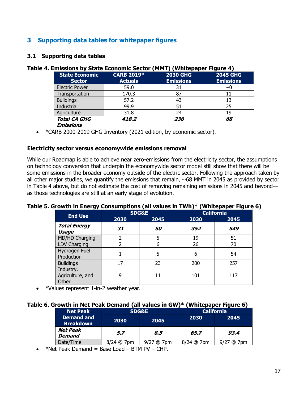# **3 Supporting data tables for whitepaper figures**

#### **3.1 Supporting data tables**

|                                         |                                     | . Emissions by State Economic Sector (MMT) (Whitepaper Figure 4) |                                     |
|-----------------------------------------|-------------------------------------|------------------------------------------------------------------|-------------------------------------|
| <b>State Economic</b><br><b>Sector</b>  | <b>CARB 2019*</b><br><b>Actuals</b> | <b>2030 GHG</b><br><b>Emissions</b>                              | <b>2045 GHG</b><br><b>Emissions</b> |
| <b>Electric Power</b>                   | 59.0                                | 31                                                               | $~\sim$ 0                           |
| Transportation                          | 170.3                               | 87                                                               | 11                                  |
| <b>Buildings</b>                        | 57.2                                | 43                                                               | 13                                  |
| Industrial                              | 99.9                                | 51                                                               | 25                                  |
| Agriculture                             | 31.8                                | 24                                                               | 19                                  |
| <b>Total CA GHG</b><br><b>Emissions</b> | 418.2                               | 236                                                              | 68                                  |

#### **Table 4. Emissions by State Economic Sector (MMT) (Whitepaper Figure 4)**

• \*CARB 2000-2019 GHG Inventory (2021 edition, by economic sector).

#### **Electricity sector versus economywide emissions removal**

While our Roadmap is able to achieve near zero-emissions from the electricity sector, the assumptions on technology conversion that underpin the economywide sector model still show that there will be some emissions in the broader economy outside of the electric sector. Following the approach taken by all other major studies, we quantify the emissions that remain,  $\sim$  68 MMT in 2045 as provided by sector in Table 4 above, but do not estimate the cost of removing remaining emissions in 2045 and beyond as those technologies are still at an early stage of evolution.

#### **Table 5. Growth in Energy Consumptions (all values in TWh)\* (Whitepaper Figure 6)**

| . .                                    | <b>SDG&amp;E</b> |      |      | r - r - - - - <i>- -</i> -<br><b>California</b> |
|----------------------------------------|------------------|------|------|-------------------------------------------------|
| <b>End Use</b>                         | 2030             | 2045 | 2030 | 2045                                            |
| <b>Total Energy</b><br>Usage           | 31               | 50   | 352  | 549                                             |
| MD/HD Charging                         | $\mathcal{P}$    |      | 19   | 51                                              |
| LDV Charging                           | っ                | 6    | 26   | 70                                              |
| Hydrogen Fuel<br>Production            |                  | 5    | 6    | 54                                              |
| <b>Buildings</b>                       | 17               | 23   | 200  | 257                                             |
| Industry,<br>Agriculture, and<br>Other | 9                |      | 101  | 117                                             |

• \*Values represent 1-in-2 weather year.

#### **Table 6. Growth in Net Peak Demand (all values in GW)\* (Whitepaper Figure 6)**

| <b>Net Peak</b>                       | <b>SDG&amp;E</b>            |         | <b>California</b> |                        |
|---------------------------------------|-----------------------------|---------|-------------------|------------------------|
| <b>Demand and</b><br><b>Breakdown</b> | 2030                        | 2045    | 2030              | 2045                   |
| <b>Net Peak</b><br><b>Demand</b>      | 5.7                         | 8.5     | 65.7              | 93.4                   |
| Date/Time                             | $8/24$ @<br>7 <sub>pm</sub> | ' @ 7pm | $8/24$ @ 7pm      | 7 <sub>pm</sub><br>(a) |

•  $*$ Net Peak Demand = Base Load – BTM PV – CHP.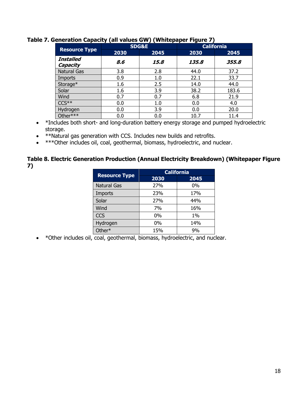| . <b>.</b> <i>.</i>          |                  |      |       |                   |  |  |
|------------------------------|------------------|------|-------|-------------------|--|--|
|                              | <b>SDG&amp;E</b> |      |       | <b>California</b> |  |  |
| <b>Resource Type</b>         | 2030             | 2045 | 2030  | 2045              |  |  |
| <b>Installed</b><br>Capacity | 8.6              | 15.8 | 135.8 | 355.8             |  |  |
| <b>Natural Gas</b>           | 3.8              | 2.8  | 44.0  | 37.2              |  |  |
| Imports                      | 0.9              | 1.0  | 22.1  | 33.7              |  |  |
| Storage*                     | 1.6              | 2.5  | 14.0  | 44.0              |  |  |
| Solar                        | 1.6              | 3.9  | 38.2  | 183.6             |  |  |
| Wind                         | 0.7              | 0.7  | 6.8   | 21.9              |  |  |
| $CCS**$                      | 0.0              | 1.0  | 0.0   | 4.0               |  |  |
| Hydrogen                     | 0.0              | 3.9  | 0.0   | 20.0              |  |  |
| Other***                     | $0.0\,$          | 0.0  | 10.7  | 11.4              |  |  |

#### **Table 7. Generation Capacity (all values GW) (Whitepaper Figure 7)**

- \*Includes both short- and long-duration battery energy storage and pumped hydroelectric storage.
- \*\*Natural gas generation with CCS. Includes new builds and retrofits.
- \*\*\*Other includes oil, coal, geothermal, biomass, hydroelectric, and nuclear.

#### **Table 8. Electric Generation Production (Annual Electricity Breakdown) (Whitepaper Figure 7)**

|                      | <b>California</b> |       |  |
|----------------------|-------------------|-------|--|
| <b>Resource Type</b> | 2030              | 2045  |  |
| <b>Natural Gas</b>   | 27%               | $0\%$ |  |
| <b>Imports</b>       | 23%               | 17%   |  |
| Solar                | 27%               | 44%   |  |
| Wind                 | 7%                | 16%   |  |
| <b>CCS</b>           | $0\%$             | $1\%$ |  |
| Hydrogen             | $0\%$             | 14%   |  |
| Other*               | 15%               | 9%    |  |

• \*Other includes oil, coal, geothermal, biomass, hydroelectric, and nuclear.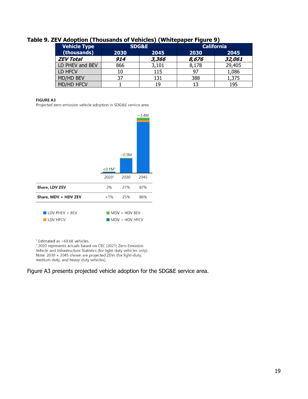| <b>Vehicle Type</b> | <b>SDG&amp;E</b> |       | <b>California</b> |        |
|---------------------|------------------|-------|-------------------|--------|
| (thousands)         | 2030             | 2045  | 2030              | 2045   |
| <b>ZEV Total</b>    | 914              | 3,366 | 8,676             | 32,061 |
| LD PHEV and BEV     | 866              | 3,101 | 8,178             | 29,405 |
| LD HFCV             | 10               | 115   | 97                | 1,086  |
| MD/HD BEV           | 37               | 131   | 388               | 1,375  |
| <b>MD/HD HFCV</b>   |                  | 19    | 13                | 195    |

#### **Table 9. ZEV Adoption (Thousands of Vehicles) (Whitepaper Figure 9)**

#### **FIGURE A3**

Projected zero-emission vehicle adoption in SDG&E service area



<sup>1</sup> Estimated as ~69.6K vehicles.

<sup>2</sup> 2020 represents actuals based on CEC (2021) Zero-Emission Vehicle and Infrastructure Statistics (for light-duty vehicles only).<br>Note: 2030 + 2045 shown are projected ZEVs (for light-duty, medium-duty, and heavy-duty vehicles).

#### Figure A3 presents projected vehicle adoption for the SDG&E service area.